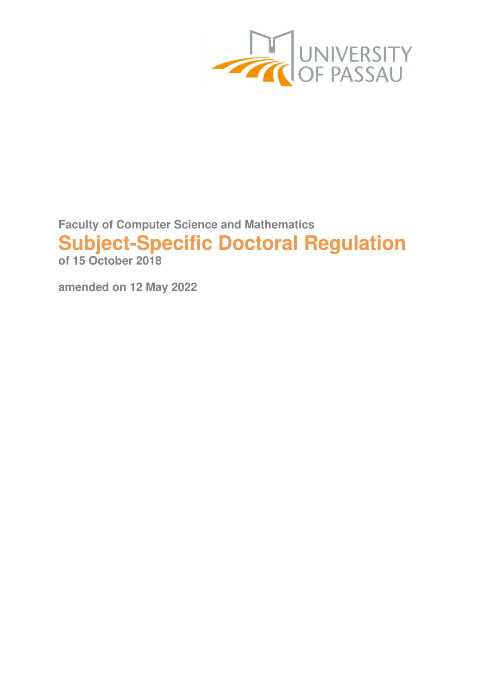

**Faculty of Computer Science and Mathematics Subject-Specific Doctoral Regulation of 15 October 2018** 

**amended on 12 May 2022**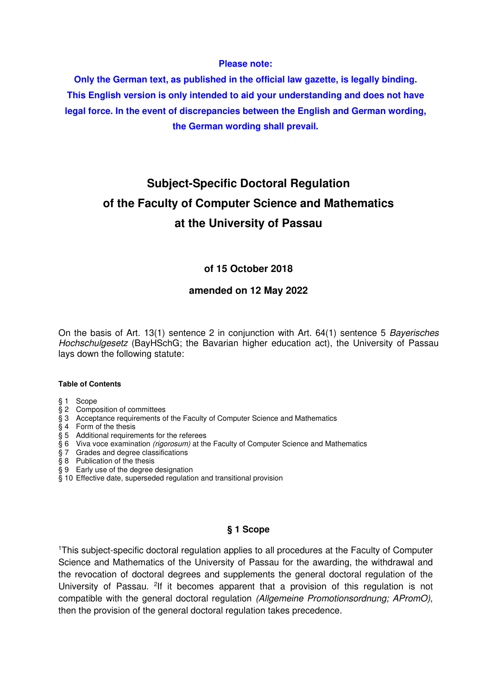#### **Please note:**

**Only the German text, as published in the official law gazette, is legally binding. This English version is only intended to aid your understanding and does not have legal force. In the event of discrepancies between the English and German wording, the German wording shall prevail.** 

# **Subject-Specific Doctoral Regulation of the Faculty of Computer Science and Mathematics at the University of Passau**

## **of 15 October 2018**

#### **amended on 12 May 2022**

On the basis of Art. 13(1) sentence 2 in conjunction with Art. 64(1) sentence 5 Bayerisches Hochschulgesetz (BayHSchG; the Bavarian higher education act), the University of Passau lays down the following statute:

#### **Table of Contents**

- § 1 Scope
- § 2 Composition of committees
- § 3 Acceptance requirements of the Faculty of Computer Science and Mathematics
- § 4 Form of the thesis
- § 5 Additional requirements for the referees
- § 6 Viva voce examination (rigorosum) at the Faculty of Computer Science and Mathematics
- $\overline{\$$  7 Grades and degree classifications
- § 8 Publication of the thesis
- § 9 Early use of the degree designation
- § 10 Effective date, superseded regulation and transitional provision

#### **§ 1 Scope**

<sup>1</sup>This subject-specific doctoral regulation applies to all procedures at the Faculty of Computer Science and Mathematics of the University of Passau for the awarding, the withdrawal and the revocation of doctoral degrees and supplements the general doctoral regulation of the University of Passau. <sup>2</sup>If it becomes apparent that a provision of this regulation is not compatible with the general doctoral regulation (Allgemeine Promotionsordnung; APromO), then the provision of the general doctoral regulation takes precedence.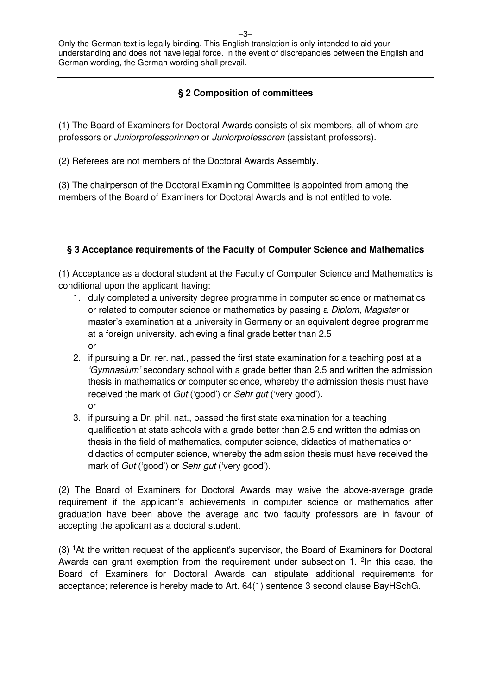# **§ 2 Composition of committees**

(1) The Board of Examiners for Doctoral Awards consists of six members, all of whom are professors or Juniorprofessorinnen or Juniorprofessoren (assistant professors).

(2) Referees are not members of the Doctoral Awards Assembly.

(3) The chairperson of the Doctoral Examining Committee is appointed from among the members of the Board of Examiners for Doctoral Awards and is not entitled to vote.

## **§ 3 Acceptance requirements of the Faculty of Computer Science and Mathematics**

(1) Acceptance as a doctoral student at the Faculty of Computer Science and Mathematics is conditional upon the applicant having:

- 1. duly completed a university degree programme in computer science or mathematics or related to computer science or mathematics by passing a Diplom, Magister or master's examination at a university in Germany or an equivalent degree programme at a foreign university, achieving a final grade better than 2.5 or
- 2. if pursuing a Dr. rer. nat., passed the first state examination for a teaching post at a 'Gymnasium' secondary school with a grade better than 2.5 and written the admission thesis in mathematics or computer science, whereby the admission thesis must have received the mark of Gut ('good') or Sehr gut ('very good'). or
- 3. if pursuing a Dr. phil. nat., passed the first state examination for a teaching qualification at state schools with a grade better than 2.5 and written the admission thesis in the field of mathematics, computer science, didactics of mathematics or didactics of computer science, whereby the admission thesis must have received the mark of Gut ('good') or Sehr gut ('very good').

(2) The Board of Examiners for Doctoral Awards may waive the above-average grade requirement if the applicant's achievements in computer science or mathematics after graduation have been above the average and two faculty professors are in favour of accepting the applicant as a doctoral student.

(3) <sup>1</sup>At the written request of the applicant's supervisor, the Board of Examiners for Doctoral Awards can grant exemption from the requirement under subsection 1. <sup>2</sup> In this case, the Board of Examiners for Doctoral Awards can stipulate additional requirements for acceptance; reference is hereby made to Art. 64(1) sentence 3 second clause BayHSchG.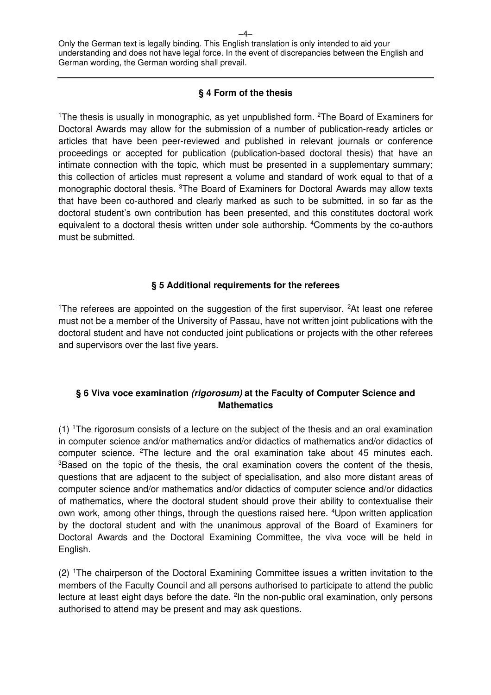### **§ 4 Form of the thesis**

<sup>1</sup>The thesis is usually in monographic, as yet unpublished form. <sup>2</sup>The Board of Examiners for Doctoral Awards may allow for the submission of a number of publication-ready articles or articles that have been peer-reviewed and published in relevant journals or conference proceedings or accepted for publication (publication-based doctoral thesis) that have an intimate connection with the topic, which must be presented in a supplementary summary; this collection of articles must represent a volume and standard of work equal to that of a monographic doctoral thesis. <sup>3</sup>The Board of Examiners for Doctoral Awards may allow texts that have been co-authored and clearly marked as such to be submitted, in so far as the doctoral student's own contribution has been presented, and this constitutes doctoral work equivalent to a doctoral thesis written under sole authorship. <sup>4</sup>Comments by the co-authors must be submitted.

## **§ 5 Additional requirements for the referees**

<sup>1</sup>The referees are appointed on the suggestion of the first supervisor.  ${}^{2}$ At least one referee must not be a member of the University of Passau, have not written joint publications with the doctoral student and have not conducted joint publications or projects with the other referees and supervisors over the last five years.

## **§ 6 Viva voce examination (rigorosum) at the Faculty of Computer Science and Mathematics**

(1) <sup>1</sup>The rigorosum consists of a lecture on the subject of the thesis and an oral examination in computer science and/or mathematics and/or didactics of mathematics and/or didactics of computer science. <sup>2</sup>The lecture and the oral examination take about 45 minutes each. <sup>3</sup>Based on the topic of the thesis, the oral examination covers the content of the thesis, questions that are adjacent to the subject of specialisation, and also more distant areas of computer science and/or mathematics and/or didactics of computer science and/or didactics of mathematics, where the doctoral student should prove their ability to contextualise their own work, among other things, through the questions raised here. <sup>4</sup>Upon written application by the doctoral student and with the unanimous approval of the Board of Examiners for Doctoral Awards and the Doctoral Examining Committee, the viva voce will be held in English.

(2) <sup>1</sup>The chairperson of the Doctoral Examining Committee issues a written invitation to the members of the Faculty Council and all persons authorised to participate to attend the public lecture at least eight days before the date. <sup>2</sup>In the non-public oral examination, only persons authorised to attend may be present and may ask questions.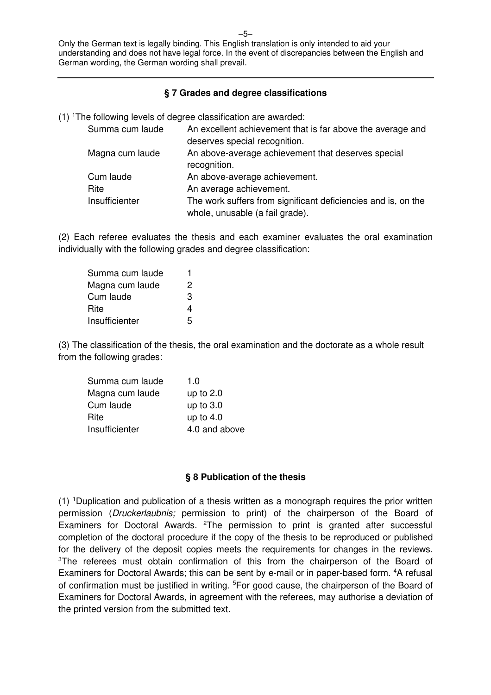### **§ 7 Grades and degree classifications**

(1) <sup>1</sup>The following levels of degree classification are awarded:

| Summa cum laude | An excellent achievement that is far above the average and    |
|-----------------|---------------------------------------------------------------|
|                 | deserves special recognition.                                 |
| Magna cum laude | An above-average achievement that deserves special            |
|                 | recognition.                                                  |
| Cum laude       | An above-average achievement.                                 |
| Rite            | An average achievement.                                       |
| Insufficienter  | The work suffers from significant deficiencies and is, on the |
|                 | whole, unusable (a fail grade).                               |

(2) Each referee evaluates the thesis and each examiner evaluates the oral examination individually with the following grades and degree classification:

| Summa cum laude |   |
|-----------------|---|
| Magna cum laude | 2 |
| Cum laude       | З |
| Rite            | 4 |
| Insufficienter  | 5 |

(3) The classification of the thesis, the oral examination and the doctorate as a whole result from the following grades:

| Summa cum laude | 1.0           |
|-----------------|---------------|
| Magna cum laude | up to $2.0$   |
| Cum laude       | up to $3.0$   |
| Rite            | up to $4.0$   |
| Insufficienter  | 4.0 and above |

#### **§ 8 Publication of the thesis**

 $(1)$  <sup>1</sup>Duplication and publication of a thesis written as a monograph requires the prior written permission (Druckerlaubnis; permission to print) of the chairperson of the Board of Examiners for Doctoral Awards. <sup>2</sup>The permission to print is granted after successful completion of the doctoral procedure if the copy of the thesis to be reproduced or published for the delivery of the deposit copies meets the requirements for changes in the reviews. <sup>3</sup>The referees must obtain confirmation of this from the chairperson of the Board of Examiners for Doctoral Awards; this can be sent by e-mail or in paper-based form. <sup>4</sup>A refusal of confirmation must be justified in writing. <sup>5</sup>For good cause, the chairperson of the Board of Examiners for Doctoral Awards, in agreement with the referees, may authorise a deviation of the printed version from the submitted text.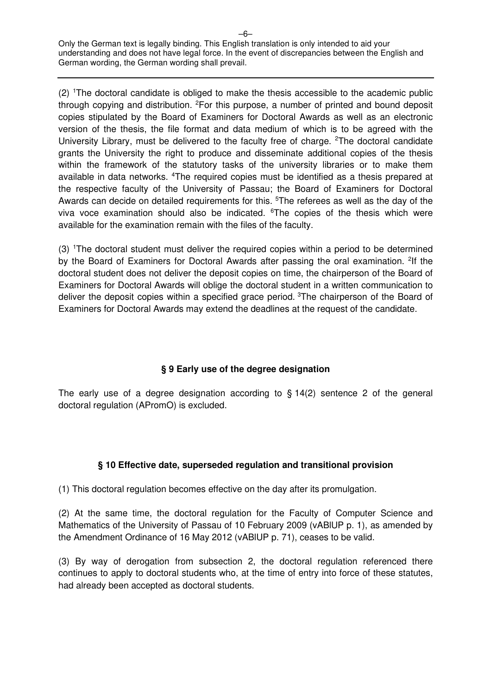(2) <sup>1</sup>The doctoral candidate is obliged to make the thesis accessible to the academic public through copying and distribution. <sup>2</sup>For this purpose, a number of printed and bound deposit copies stipulated by the Board of Examiners for Doctoral Awards as well as an electronic version of the thesis, the file format and data medium of which is to be agreed with the University Library, must be delivered to the faculty free of charge. <sup>2</sup>The doctoral candidate grants the University the right to produce and disseminate additional copies of the thesis within the framework of the statutory tasks of the university libraries or to make them available in data networks. <sup>4</sup>The required copies must be identified as a thesis prepared at the respective faculty of the University of Passau; the Board of Examiners for Doctoral Awards can decide on detailed requirements for this. <sup>5</sup>The referees as well as the day of the viva voce examination should also be indicated. <sup>6</sup>The copies of the thesis which were available for the examination remain with the files of the faculty.

(3) <sup>1</sup>The doctoral student must deliver the required copies within a period to be determined by the Board of Examiners for Doctoral Awards after passing the oral examination. <sup>2</sup>If the doctoral student does not deliver the deposit copies on time, the chairperson of the Board of Examiners for Doctoral Awards will oblige the doctoral student in a written communication to deliver the deposit copies within a specified grace period.<sup>3</sup>The chairperson of the Board of Examiners for Doctoral Awards may extend the deadlines at the request of the candidate.

# **§ 9 Early use of the degree designation**

The early use of a degree designation according to § 14(2) sentence 2 of the general doctoral regulation (APromO) is excluded.

# **§ 10 Effective date, superseded regulation and transitional provision**

(1) This doctoral regulation becomes effective on the day after its promulgation.

(2) At the same time, the doctoral regulation for the Faculty of Computer Science and Mathematics of the University of Passau of 10 February 2009 (vABlUP p. 1), as amended by the Amendment Ordinance of 16 May 2012 (vABlUP p. 71), ceases to be valid.

(3) By way of derogation from subsection 2, the doctoral regulation referenced there continues to apply to doctoral students who, at the time of entry into force of these statutes, had already been accepted as doctoral students.